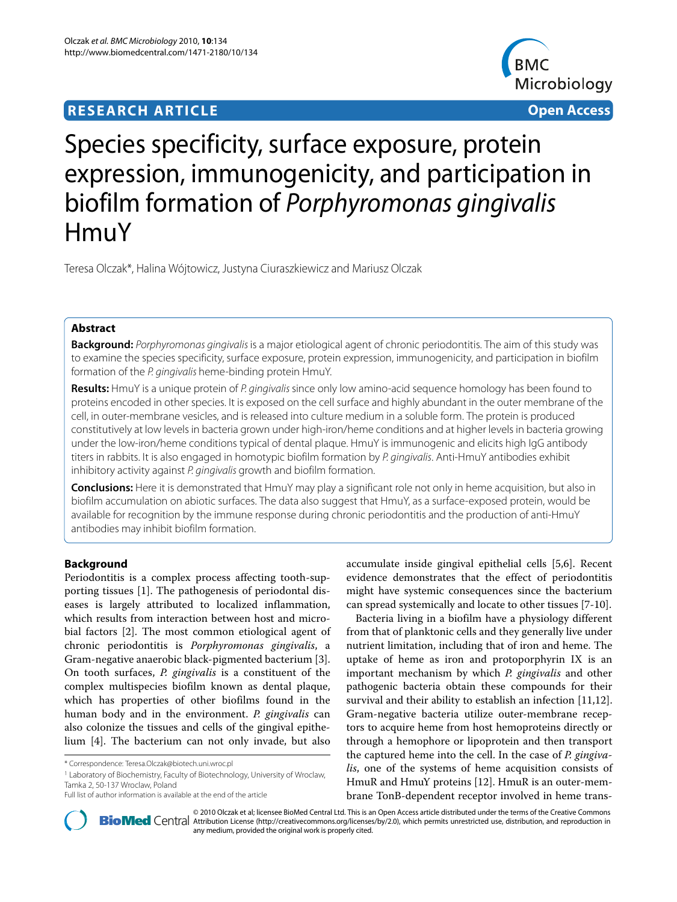## **RESEARCH ARTICLE Open Access**



# Species specificity, surface exposure, protein expression, immunogenicity, and participation in biofilm formation of Porphyromonas gingivalis **HmuY**

Teresa Olczak\*, Halina Wójtowicz, Justyna Ciuraszkiewicz and Mariusz Olczak

## **Abstract**

**Background:** Porphyromonas gingivalis is a major etiological agent of chronic periodontitis. The aim of this study was to examine the species specificity, surface exposure, protein expression, immunogenicity, and participation in biofilm formation of the P. gingivalis heme-binding protein HmuY.

**Results:** HmuY is a unique protein of P. gingivalis since only low amino-acid sequence homology has been found to proteins encoded in other species. It is exposed on the cell surface and highly abundant in the outer membrane of the cell, in outer-membrane vesicles, and is released into culture medium in a soluble form. The protein is produced constitutively at low levels in bacteria grown under high-iron/heme conditions and at higher levels in bacteria growing under the low-iron/heme conditions typical of dental plaque. HmuY is immunogenic and elicits high IgG antibody titers in rabbits. It is also engaged in homotypic biofilm formation by P. gingivalis. Anti-HmuY antibodies exhibit inhibitory activity against P. gingivalis growth and biofilm formation.

**Conclusions:** Here it is demonstrated that HmuY may play a significant role not only in heme acquisition, but also in biofilm accumulation on abiotic surfaces. The data also suggest that HmuY, as a surface-exposed protein, would be available for recognition by the immune response during chronic periodontitis and the production of anti-HmuY antibodies may inhibit biofilm formation.

## **Background**

Periodontitis is a complex process affecting tooth-supporting tissues [[1\]](#page-8-0). The pathogenesis of periodontal diseases is largely attributed to localized inflammation, which results from interaction between host and microbial factors [[2](#page-8-1)]. The most common etiological agent of chronic periodontitis is *Porphyromonas gingivalis*, a Gram-negative anaerobic black-pigmented bacterium [\[3](#page-8-2)]. On tooth surfaces, *P. gingivalis* is a constituent of the complex multispecies biofilm known as dental plaque, which has properties of other biofilms found in the human body and in the environment. *P. gingivalis* can also colonize the tissues and cells of the gingival epithelium [[4\]](#page-8-3). The bacterium can not only invade, but also

1 Laboratory of Biochemistry, Faculty of Biotechnology, University of Wroclaw, Tamka 2, 50-137 Wroclaw, Poland

accumulate inside gingival epithelial cells [[5](#page-8-4),[6\]](#page-8-5). Recent evidence demonstrates that the effect of periodontitis might have systemic consequences since the bacterium can spread systemically and locate to other tissues [\[7](#page-8-6)-[10](#page-8-7)].

Bacteria living in a biofilm have a physiology different from that of planktonic cells and they generally live under nutrient limitation, including that of iron and heme. The uptake of heme as iron and protoporphyrin IX is an important mechanism by which *P. gingivalis* and other pathogenic bacteria obtain these compounds for their survival and their ability to establish an infection [\[11](#page-8-8)[,12](#page-8-9)]. Gram-negative bacteria utilize outer-membrane receptors to acquire heme from host hemoproteins directly or through a hemophore or lipoprotein and then transport the captured heme into the cell. In the case of *P. gingivalis*, one of the systems of heme acquisition consists of HmuR and HmuY proteins [\[12](#page-8-9)]. HmuR is an outer-membrane TonB-dependent receptor involved in heme trans-



2010 Olczak et al; licensee [BioMed](http://www.biomedcentral.com/) Central Ltd. This is an Open Access article distributed under the terms of the Creative Commons (http://creativecommons.org/licenses/by/2.0), which permits unrestricted use, distribution, any medium, provided the original work is properly cited.

<sup>\*</sup> Correspondence: Teresa.Olczak@biotech.uni.wroc.pl

Full list of author information is available at the end of the article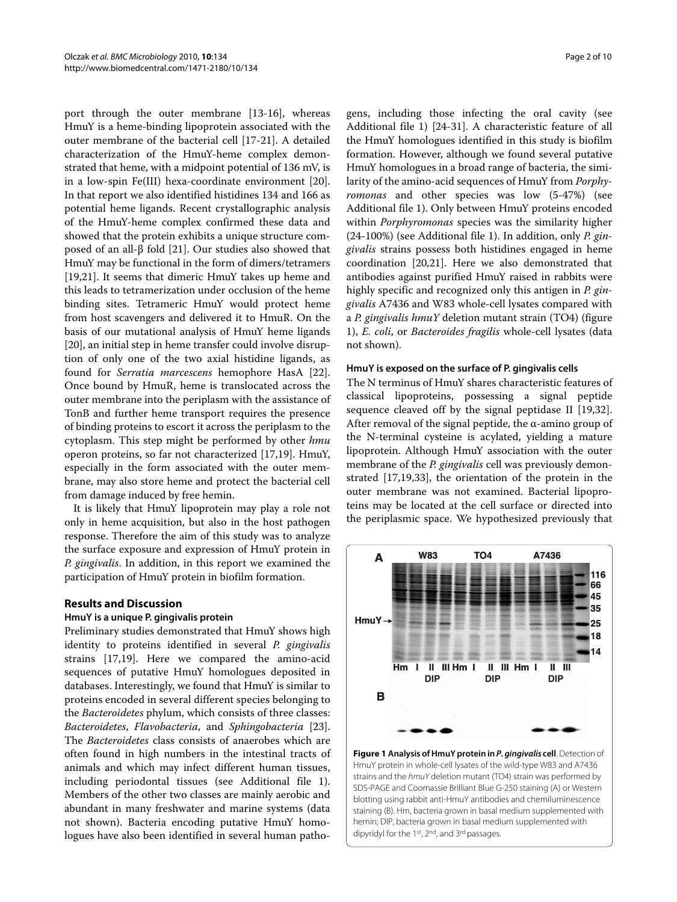port through the outer membrane [[13](#page-8-10)[-16](#page-8-11)], whereas HmuY is a heme-binding lipoprotein associated with the outer membrane of the bacterial cell [[17-](#page-8-12)[21](#page-8-13)]. A detailed characterization of the HmuY-heme complex demonstrated that heme, with a midpoint potential of 136 mV, is in a low-spin Fe(III) hexa-coordinate environment [\[20](#page-8-14)]. In that report we also identified histidines 134 and 166 as potential heme ligands. Recent crystallographic analysis of the HmuY-heme complex confirmed these data and showed that the protein exhibits a unique structure composed of an all-β fold [\[21](#page-8-13)]. Our studies also showed that HmuY may be functional in the form of dimers/tetramers [[19,](#page-8-15)[21\]](#page-8-13). It seems that dimeric HmuY takes up heme and this leads to tetramerization under occlusion of the heme binding sites. Tetrameric HmuY would protect heme from host scavengers and delivered it to HmuR. On the basis of our mutational analysis of HmuY heme ligands [[20\]](#page-8-14), an initial step in heme transfer could involve disruption of only one of the two axial histidine ligands, as found for *Serratia marcescens* hemophore HasA [\[22](#page-8-16)]. Once bound by HmuR, heme is translocated across the outer membrane into the periplasm with the assistance of TonB and further heme transport requires the presence of binding proteins to escort it across the periplasm to the cytoplasm. This step might be performed by other *hmu* operon proteins, so far not characterized [\[17](#page-8-12)[,19](#page-8-15)]. HmuY, especially in the form associated with the outer membrane, may also store heme and protect the bacterial cell from damage induced by free hemin.

It is likely that HmuY lipoprotein may play a role not only in heme acquisition, but also in the host pathogen response. Therefore the aim of this study was to analyze the surface exposure and expression of HmuY protein in *P. gingivalis*. In addition, in this report we examined the participation of HmuY protein in biofilm formation.

#### **Results and Discussion**

#### **HmuY is a unique P. gingivalis protein**

Preliminary studies demonstrated that HmuY shows high identity to proteins identified in several *P. gingivalis* strains [\[17](#page-8-12)[,19](#page-8-15)]. Here we compared the amino-acid sequences of putative HmuY homologues deposited in databases. Interestingly, we found that HmuY is similar to proteins encoded in several different species belonging to the *Bacteroidetes* phylum, which consists of three classes: *Bacteroidetes*, *Flavobacteria*, and *Sphingobacteria* [\[23](#page-8-17)]. The *Bacteroidetes* class consists of anaerobes which are often found in high numbers in the intestinal tracts of animals and which may infect different human tissues, including periodontal tissues (see Additional file [1](#page-7-0)). Members of the other two classes are mainly aerobic and abundant in many freshwater and marine systems (data not shown). Bacteria encoding putative HmuY homologues have also been identified in several human patho-

gens, including those infecting the oral cavity (see Additional file [1](#page-7-0)) [\[24](#page-8-18)-[31](#page-8-19)]. A characteristic feature of all the HmuY homologues identified in this study is biofilm formation. However, although we found several putative HmuY homologues in a broad range of bacteria, the similarity of the amino-acid sequences of HmuY from *Porphyromonas* and other species was low (5-47%) (see Additional file [1\)](#page-7-0). Only between HmuY proteins encoded within *Porphyromonas* species was the similarity higher (24-100%) (see Additional file [1](#page-7-0)). In addition, only *P. gingivalis* strains possess both histidines engaged in heme coordination [[20](#page-8-14),[21\]](#page-8-13). Here we also demonstrated that antibodies against purified HmuY raised in rabbits were highly specific and recognized only this antigen in *P. gingivalis* A7436 and W83 whole-cell lysates compared with a *P. gingivalis hmuY* deletion mutant strain (TO4) (figure [1\)](#page-1-0), *E. coli*, or *Bacteroides fragilis* whole-cell lysates (data not shown).

#### **HmuY is exposed on the surface of P. gingivalis cells**

The N terminus of HmuY shares characteristic features of classical lipoproteins, possessing a signal peptide sequence cleaved off by the signal peptidase II [\[19](#page-8-15)[,32](#page-8-20)]. After removal of the signal peptide, the  $\alpha$ -amino group of the N-terminal cysteine is acylated, yielding a mature lipoprotein. Although HmuY association with the outer membrane of the *P. gingivalis* cell was previously demonstrated [\[17](#page-8-12)[,19](#page-8-15)[,33](#page-8-21)], the orientation of the protein in the outer membrane was not examined. Bacterial lipoproteins may be located at the cell surface or directed into the periplasmic space. We hypothesized previously that

<span id="page-1-0"></span>

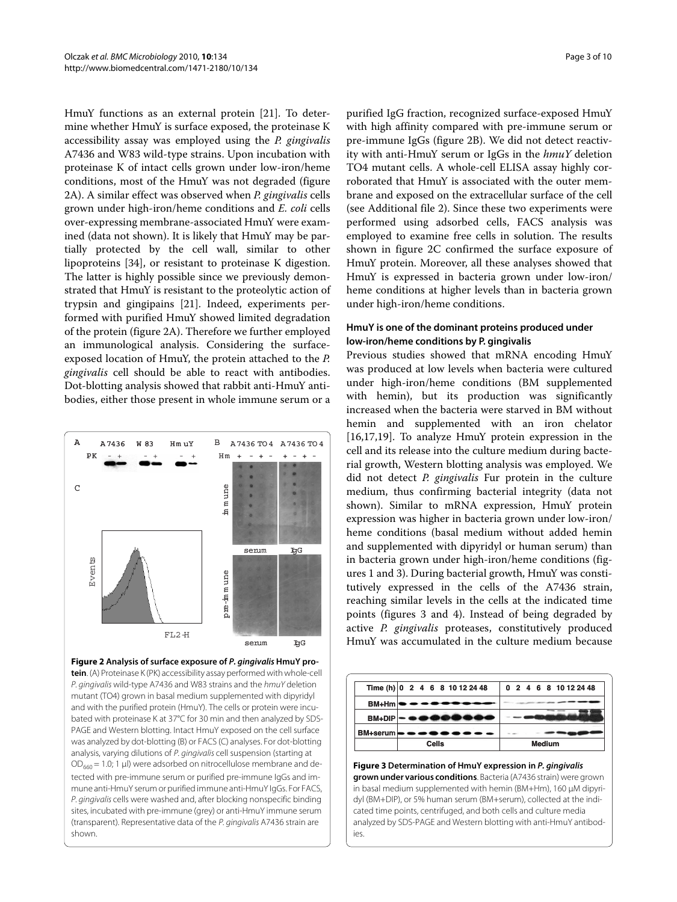HmuY functions as an external protein [[21](#page-8-13)]. To determine whether HmuY is surface exposed, the proteinase K accessibility assay was employed using the *P. gingivalis* A7436 and W83 wild-type strains. Upon incubation with proteinase K of intact cells grown under low-iron/heme conditions, most of the HmuY was not degraded (figure [2A](#page-2-0)). A similar effect was observed when *P. gingivalis* cells grown under high-iron/heme conditions and *E. coli* cells over-expressing membrane-associated HmuY were examined (data not shown). It is likely that HmuY may be partially protected by the cell wall, similar to other lipoproteins [[34\]](#page-8-22), or resistant to proteinase K digestion. The latter is highly possible since we previously demonstrated that HmuY is resistant to the proteolytic action of trypsin and gingipains [[21](#page-8-13)]. Indeed, experiments performed with purified HmuY showed limited degradation of the protein (figure [2](#page-2-0)A). Therefore we further employed an immunological analysis. Considering the surfaceexposed location of HmuY, the protein attached to the *P. gingivalis* cell should be able to react with antibodies. Dot-blotting analysis showed that rabbit anti-HmuY antibodies, either those present in whole immune serum or a

<span id="page-2-0"></span>

**Figure 2 Analysis of surface exposure of P. gingivalis HmuY protein**. (A) Proteinase K (PK) accessibility assay performed with whole-cell P. gingivalis wild-type A7436 and W83 strains and the hmuY deletion mutant (TO4) grown in basal medium supplemented with dipyridyl and with the purified protein (HmuY). The cells or protein were incubated with proteinase K at 37°C for 30 min and then analyzed by SDS-PAGE and Western blotting. Intact HmuY exposed on the cell surface was analyzed by dot-blotting (B) or FACS (C) analyses. For dot-blotting analysis, varying dilutions of P. gingivalis cell suspension (starting at  $OD_{660} = 1.0; 1 \mu$ ) were adsorbed on nitrocellulose membrane and detected with pre-immune serum or purified pre-immune IgGs and immune anti-HmuY serum or purified immune anti-HmuY IgGs. For FACS, P. gingivalis cells were washed and, after blocking nonspecific binding sites, incubated with pre-immune (grey) or anti-HmuY immune serum (transparent). Representative data of the P. gingivalis A7436 strain are shown.

purified IgG fraction, recognized surface-exposed HmuY with high affinity compared with pre-immune serum or pre-immune IgGs (figure [2B](#page-2-0)). We did not detect reactivity with anti-HmuY serum or IgGs in the *hmuY* deletion TO4 mutant cells. A whole-cell ELISA assay highly corroborated that HmuY is associated with the outer membrane and exposed on the extracellular surface of the cell (see Additional file [2](#page-7-1)). Since these two experiments were performed using adsorbed cells, FACS analysis was employed to examine free cells in solution. The results shown in figure [2C](#page-2-0) confirmed the surface exposure of HmuY protein. Moreover, all these analyses showed that HmuY is expressed in bacteria grown under low-iron/ heme conditions at higher levels than in bacteria grown under high-iron/heme conditions.

## **HmuY is one of the dominant proteins produced under low-iron/heme conditions by P. gingivalis**

Previous studies showed that mRNA encoding HmuY was produced at low levels when bacteria were cultured under high-iron/heme conditions (BM supplemented with hemin), but its production was significantly increased when the bacteria were starved in BM without hemin and supplemented with an iron chelator [[16,](#page-8-11)[17,](#page-8-12)[19\]](#page-8-15). To analyze HmuY protein expression in the cell and its release into the culture medium during bacterial growth, Western blotting analysis was employed. We did not detect *P. gingivalis* Fur protein in the culture medium, thus confirming bacterial integrity (data not shown). Similar to mRNA expression, HmuY protein expression was higher in bacteria grown under low-iron/ heme conditions (basal medium without added hemin and supplemented with dipyridyl or human serum) than in bacteria grown under high-iron/heme conditions (figures [1](#page-1-0) and [3\)](#page-2-1). During bacterial growth, HmuY was constitutively expressed in the cells of the A7436 strain, reaching similar levels in the cells at the indicated time points (figures [3](#page-2-1) and [4\)](#page-3-0). Instead of being degraded by active *P. gingivalis* proteases, constitutively produced HmuY was accumulated in the culture medium because

<span id="page-2-1"></span>

**Figure 3 Determination of HmuY expression in P. gingivalis grown under various conditions**. Bacteria (A7436 strain) were grown in basal medium supplemented with hemin (BM+Hm), 160 μM dipyridyl (BM+DIP), or 5% human serum (BM+serum), collected at the indicated time points, centrifuged, and both cells and culture media analyzed by SDS-PAGE and Western blotting with anti-HmuY antibodies.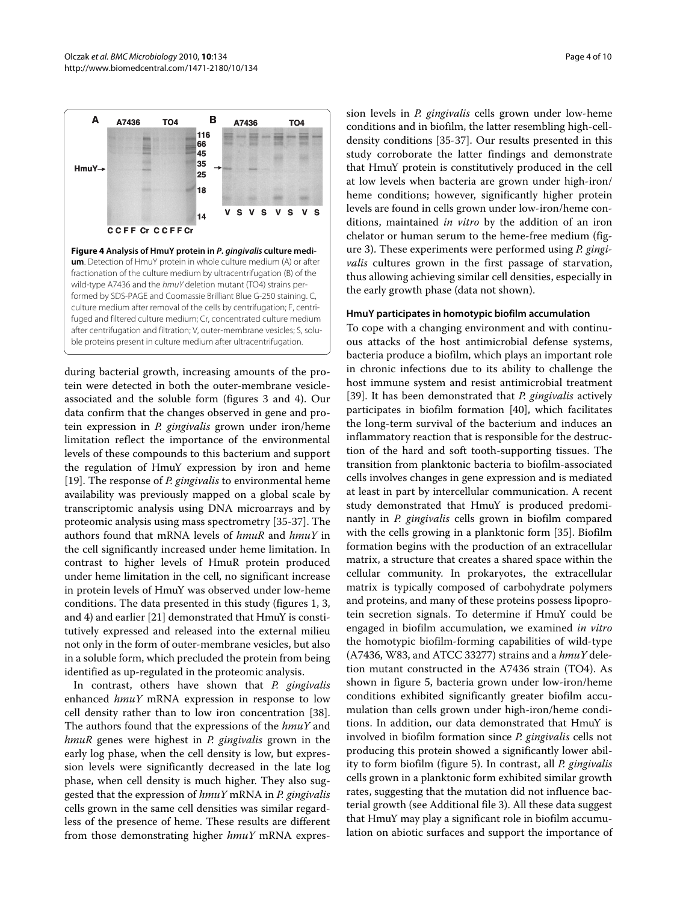<span id="page-3-0"></span>

culture medium after removal of the cells by centrifugation; F, centrifuged and filtered culture medium; Cr, concentrated culture medium after centrifugation and filtration; V, outer-membrane vesicles; S, soluble proteins present in culture medium after ultracentrifugation.

during bacterial growth, increasing amounts of the protein were detected in both the outer-membrane vesicleassociated and the soluble form (figures [3](#page-2-1) and [4](#page-3-0)). Our data confirm that the changes observed in gene and protein expression in *P. gingivalis* grown under iron/heme limitation reflect the importance of the environmental levels of these compounds to this bacterium and support the regulation of HmuY expression by iron and heme [[19\]](#page-8-15). The response of *P. gingivalis* to environmental heme availability was previously mapped on a global scale by transcriptomic analysis using DNA microarrays and by proteomic analysis using mass spectrometry [\[35](#page-8-23)-[37](#page-8-24)]. The authors found that mRNA levels of *hmuR* and *hmuY* in the cell significantly increased under heme limitation. In contrast to higher levels of HmuR protein produced under heme limitation in the cell, no significant increase in protein levels of HmuY was observed under low-heme conditions. The data presented in this study (figures [1,](#page-1-0) [3](#page-2-1), and [4\)](#page-3-0) and earlier [[21\]](#page-8-13) demonstrated that HmuY is constitutively expressed and released into the external milieu not only in the form of outer-membrane vesicles, but also in a soluble form, which precluded the protein from being identified as up-regulated in the proteomic analysis.

In contrast, others have shown that *P. gingivalis* enhanced *hmuY* mRNA expression in response to low cell density rather than to low iron concentration [\[38](#page-9-0)]. The authors found that the expressions of the *hmuY* and *hmuR* genes were highest in *P. gingivalis* grown in the early log phase, when the cell density is low, but expression levels were significantly decreased in the late log phase, when cell density is much higher. They also suggested that the expression of *hmuY* mRNA in *P. gingivalis* cells grown in the same cell densities was similar regardless of the presence of heme. These results are different from those demonstrating higher *hmuY* mRNA expression levels in *P. gingivalis* cells grown under low-heme conditions and in biofilm, the latter resembling high-celldensity conditions [[35-](#page-8-23)[37](#page-8-24)]. Our results presented in this study corroborate the latter findings and demonstrate that HmuY protein is constitutively produced in the cell at low levels when bacteria are grown under high-iron/ heme conditions; however, significantly higher protein levels are found in cells grown under low-iron/heme conditions, maintained *in vitro* by the addition of an iron chelator or human serum to the heme-free medium (figure [3\)](#page-2-1). These experiments were performed using *P. gingivalis* cultures grown in the first passage of starvation, thus allowing achieving similar cell densities, especially in the early growth phase (data not shown).

#### **HmuY participates in homotypic biofilm accumulation**

To cope with a changing environment and with continuous attacks of the host antimicrobial defense systems, bacteria produce a biofilm, which plays an important role in chronic infections due to its ability to challenge the host immune system and resist antimicrobial treatment [[39\]](#page-9-1). It has been demonstrated that *P. gingivalis* actively participates in biofilm formation [\[40\]](#page-9-2), which facilitates the long-term survival of the bacterium and induces an inflammatory reaction that is responsible for the destruction of the hard and soft tooth-supporting tissues. The transition from planktonic bacteria to biofilm-associated cells involves changes in gene expression and is mediated at least in part by intercellular communication. A recent study demonstrated that HmuY is produced predominantly in *P. gingivalis* cells grown in biofilm compared with the cells growing in a planktonic form [\[35](#page-8-23)]. Biofilm formation begins with the production of an extracellular matrix, a structure that creates a shared space within the cellular community. In prokaryotes, the extracellular matrix is typically composed of carbohydrate polymers and proteins, and many of these proteins possess lipoprotein secretion signals. To determine if HmuY could be engaged in biofilm accumulation, we examined *in vitro* the homotypic biofilm-forming capabilities of wild-type (A7436, W83, and ATCC 33277) strains and a *hmuY* deletion mutant constructed in the A7436 strain (TO4). As shown in figure [5](#page-4-0), bacteria grown under low-iron/heme conditions exhibited significantly greater biofilm accumulation than cells grown under high-iron/heme conditions. In addition, our data demonstrated that HmuY is involved in biofilm formation since *P. gingivalis* cells not producing this protein showed a significantly lower ability to form biofilm (figure [5\)](#page-4-0). In contrast, all *P. gingivalis* cells grown in a planktonic form exhibited similar growth rates, suggesting that the mutation did not influence bacterial growth (see Additional file [3](#page-7-2)). All these data suggest that HmuY may play a significant role in biofilm accumulation on abiotic surfaces and support the importance of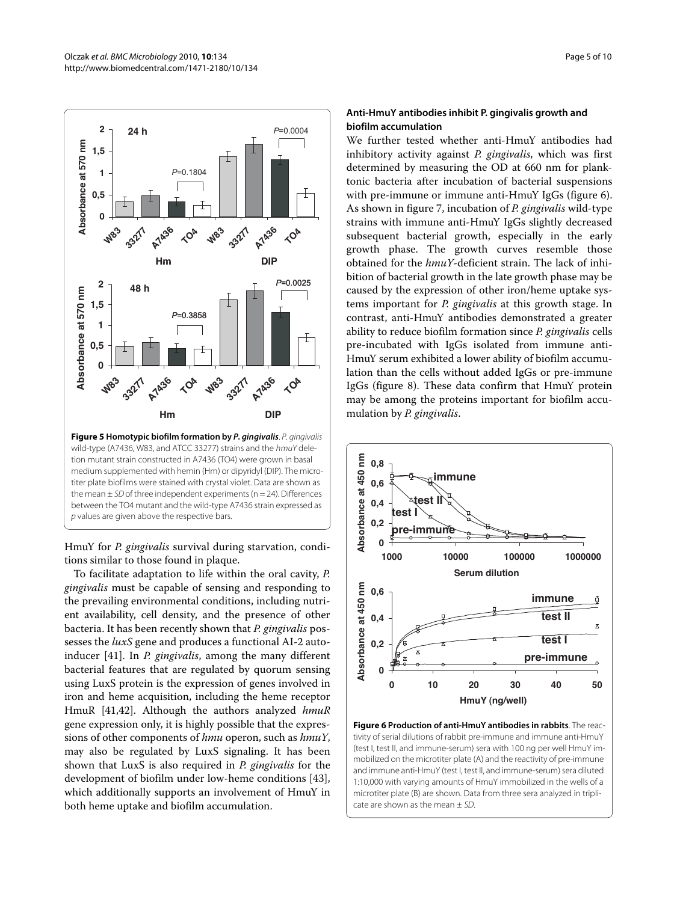<span id="page-4-0"></span>

tion mutant strain constructed in A7436 (TO4) were grown in basal medium supplemented with hemin (Hm) or dipyridyl (DIP). The microtiter plate biofilms were stained with crystal violet. Data are shown as the mean  $\pm$  SD of three independent experiments (n = 24). Differences between the TO4 mutant and the wild-type A7436 strain expressed as  $p$  values are given above the respective bars.

HmuY for *P. gingivalis* survival during starvation, conditions similar to those found in plaque.

To facilitate adaptation to life within the oral cavity, *P. gingivalis* must be capable of sensing and responding to the prevailing environmental conditions, including nutrient availability, cell density, and the presence of other bacteria. It has been recently shown that *P. gingivalis* possesses the *luxS* gene and produces a functional AI-2 autoinducer [[41\]](#page-9-3). In *P. gingivalis*, among the many different bacterial features that are regulated by quorum sensing using LuxS protein is the expression of genes involved in iron and heme acquisition, including the heme receptor HmuR [\[41](#page-9-3),[42](#page-9-4)]. Although the authors analyzed *hmuR* gene expression only, it is highly possible that the expressions of other components of *hmu* operon, such as *hmuY*, may also be regulated by LuxS signaling. It has been shown that LuxS is also required in *P. gingivalis* for the development of biofilm under low-heme conditions [\[43](#page-9-5)], which additionally supports an involvement of HmuY in both heme uptake and biofilm accumulation.

## **Anti-HmuY antibodies inhibit P. gingivalis growth and biofilm accumulation**

We further tested whether anti-HmuY antibodies had inhibitory activity against *P. gingivalis*, which was first determined by measuring the OD at 660 nm for planktonic bacteria after incubation of bacterial suspensions with pre-immune or immune anti-HmuY IgGs (figure [6](#page-4-1)). As shown in figure [7,](#page-5-0) incubation of *P. gingivalis* wild-type strains with immune anti-HmuY IgGs slightly decreased subsequent bacterial growth, especially in the early growth phase. The growth curves resemble those obtained for the *hmuY*-deficient strain. The lack of inhibition of bacterial growth in the late growth phase may be caused by the expression of other iron/heme uptake systems important for *P. gingivalis* at this growth stage. In contrast, anti-HmuY antibodies demonstrated a greater ability to reduce biofilm formation since *P. gingivalis* cells pre-incubated with IgGs isolated from immune anti-HmuY serum exhibited a lower ability of biofilm accumulation than the cells without added IgGs or pre-immune IgGs (figure [8](#page-6-0)). These data confirm that HmuY protein may be among the proteins important for biofilm accumulation by *P. gingivalis*.

<span id="page-4-1"></span>

**Figure 6 Production of anti-HmuY antibodies in rabbits**. The reactivity of serial dilutions of rabbit pre-immune and immune anti-HmuY (test I, test II, and immune-serum) sera with 100 ng per well HmuY immobilized on the microtiter plate (A) and the reactivity of pre-immune and immune anti-HmuY (test I, test II, and immune-serum) sera diluted 1:10,000 with varying amounts of HmuY immobilized in the wells of a microtiter plate (B) are shown. Data from three sera analyzed in triplicate are shown as the mean  $+$  SD.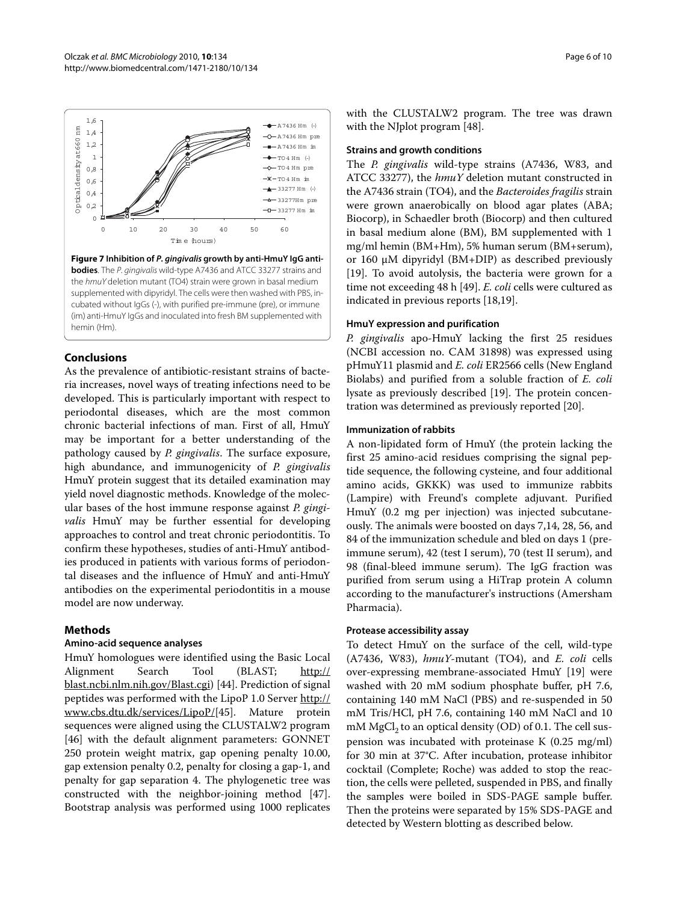<span id="page-5-0"></span>

**Figure 7 Inhibition of P. gingivalis growth by anti-HmuY IgG antibodies**. The P. gingivalis wild-type A7436 and ATCC 33277 strains and the hmuY deletion mutant (TO4) strain were grown in basal medium supplemented with dipyridyl. The cells were then washed with PBS, incubated without IgGs (-), with purified pre-immune (pre), or immune (im) anti-HmuY IgGs and inoculated into fresh BM supplemented with hemin (Hm).

## **Conclusions**

As the prevalence of antibiotic-resistant strains of bacteria increases, novel ways of treating infections need to be developed. This is particularly important with respect to periodontal diseases, which are the most common chronic bacterial infections of man. First of all, HmuY may be important for a better understanding of the pathology caused by *P. gingivalis*. The surface exposure, high abundance, and immunogenicity of *P. gingivalis* HmuY protein suggest that its detailed examination may yield novel diagnostic methods. Knowledge of the molecular bases of the host immune response against *P. gingivalis* HmuY may be further essential for developing approaches to control and treat chronic periodontitis. To confirm these hypotheses, studies of anti-HmuY antibodies produced in patients with various forms of periodontal diseases and the influence of HmuY and anti-HmuY antibodies on the experimental periodontitis in a mouse model are now underway.

#### **Methods**

#### **Amino-acid sequence analyses**

HmuY homologues were identified using the Basic Local Alignment Search Tool (BLAST; [http://](http://blast.ncbi.nlm.nih.gov/Blast.cgi) [blast.ncbi.nlm.nih.gov/Blast.cgi\)](http://blast.ncbi.nlm.nih.gov/Blast.cgi) [[44\]](#page-9-6). Prediction of signal peptides was performed with the LipoP 1.0 Server [http://](http://www.cbs.dtu.dk/services/LipoP/) [www.cbs.dtu.dk/services/LipoP/](http://www.cbs.dtu.dk/services/LipoP/)[\[45](#page-9-7)]. Mature protein sequences were aligned using the CLUSTALW2 program [[46\]](#page-9-8) with the default alignment parameters: GONNET 250 protein weight matrix, gap opening penalty 10.00, gap extension penalty 0.2, penalty for closing a gap-1, and penalty for gap separation 4. The phylogenetic tree was constructed with the neighbor-joining method [\[47](#page-9-9)]. Bootstrap analysis was performed using 1000 replicates with the CLUSTALW2 program. The tree was drawn with the NJplot program [[48](#page-9-10)].

#### **Strains and growth conditions**

The *P. gingivalis* wild-type strains (A7436, W83, and ATCC 33277), the *hmuY* deletion mutant constructed in the A7436 strain (TO4), and the *Bacteroides fragilis* strain were grown anaerobically on blood agar plates (ABA; Biocorp), in Schaedler broth (Biocorp) and then cultured in basal medium alone (BM), BM supplemented with 1 mg/ml hemin (BM+Hm), 5% human serum (BM+serum), or 160 μM dipyridyl (BM+DIP) as described previously [[19\]](#page-8-15). To avoid autolysis, the bacteria were grown for a time not exceeding 48 h [\[49](#page-9-11)]. *E. coli* cells were cultured as indicated in previous reports [\[18](#page-8-25)[,19](#page-8-15)].

#### **HmuY expression and purification**

*P. gingivalis* apo-HmuY lacking the first 25 residues (NCBI accession no. CAM 31898) was expressed using pHmuY11 plasmid and *E. coli* ER2566 cells (New England Biolabs) and purified from a soluble fraction of *E. coli* lysate as previously described [\[19](#page-8-15)]. The protein concentration was determined as previously reported [[20](#page-8-14)].

#### **Immunization of rabbits**

A non-lipidated form of HmuY (the protein lacking the first 25 amino-acid residues comprising the signal peptide sequence, the following cysteine, and four additional amino acids, GKKK) was used to immunize rabbits (Lampire) with Freund's complete adjuvant. Purified HmuY (0.2 mg per injection) was injected subcutaneously. The animals were boosted on days 7,14, 28, 56, and 84 of the immunization schedule and bled on days 1 (preimmune serum), 42 (test I serum), 70 (test II serum), and 98 (final-bleed immune serum). The IgG fraction was purified from serum using a HiTrap protein A column according to the manufacturer's instructions (Amersham Pharmacia).

#### **Protease accessibility assay**

To detect HmuY on the surface of the cell, wild-type (A7436, W83), *hmuY*-mutant (TO4), and *E. coli* cells over-expressing membrane-associated HmuY [[19\]](#page-8-15) were washed with 20 mM sodium phosphate buffer, pH 7.6, containing 140 mM NaCl (PBS) and re-suspended in 50 mM Tris/HCl, pH 7.6, containing 140 mM NaCl and 10  $mM MgCl<sub>2</sub>$  to an optical density (OD) of 0.1. The cell suspension was incubated with proteinase K (0.25 mg/ml) for 30 min at 37°C. After incubation, protease inhibitor cocktail (Complete; Roche) was added to stop the reaction, the cells were pelleted, suspended in PBS, and finally the samples were boiled in SDS-PAGE sample buffer. Then the proteins were separated by 15% SDS-PAGE and detected by Western blotting as described below.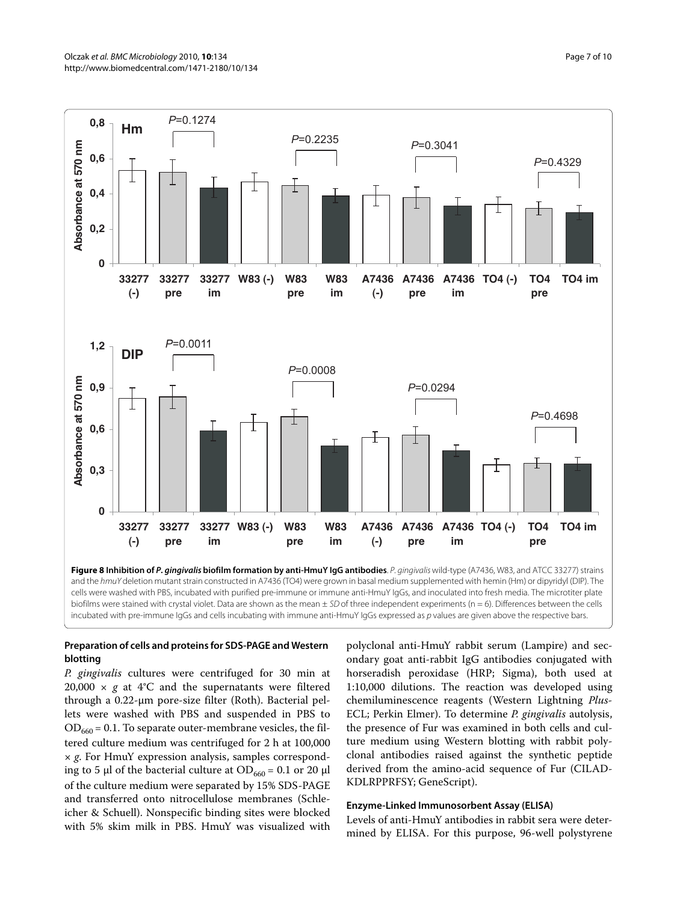<span id="page-6-0"></span>

**Figure 8 Inhibition of P. gingivalis biofilm formation by anti-HmuY IgG antibodies**. P. gingivalis wild-type (A7436, W83, and ATCC 33277) strains and the hmuY deletion mutant strain constructed in A7436 (TO4) were grown in basal medium supplemented with hemin (Hm) or dipyridyl (DIP). The cells were washed with PBS, incubated with purified pre-immune or immune anti-HmuY IgGs, and inoculated into fresh media. The microtiter plate biofilms were stained with crystal violet. Data are shown as the mean  $\pm$  SD of three independent experiments (n = 6). Differences between the cells incubated with pre-immune IgGs and cells incubating with immune anti-HmuY IgGs expressed as p values are given above the respective bars.

## **Preparation of cells and proteins for SDS-PAGE and Western blotting**

*P. gingivalis* cultures were centrifuged for 30 min at 20,000  $\times$  g at 4°C and the supernatants were filtered through a 0.22-μm pore-size filter (Roth). Bacterial pellets were washed with PBS and suspended in PBS to  $OD_{660} = 0.1$ . To separate outer-membrane vesicles, the filtered culture medium was centrifuged for 2 h at 100,000 × *g*. For HmuY expression analysis, samples corresponding to 5 μl of the bacterial culture at  $OD_{660} = 0.1$  or 20 μl of the culture medium were separated by 15% SDS-PAGE and transferred onto nitrocellulose membranes (Schleicher & Schuell). Nonspecific binding sites were blocked with 5% skim milk in PBS. HmuY was visualized with

polyclonal anti-HmuY rabbit serum (Lampire) and secondary goat anti-rabbit IgG antibodies conjugated with horseradish peroxidase (HRP; Sigma), both used at 1:10,000 dilutions. The reaction was developed using chemiluminescence reagents (Western Lightning *Plus*-ECL; Perkin Elmer). To determine *P. gingivalis* autolysis, the presence of Fur was examined in both cells and culture medium using Western blotting with rabbit polyclonal antibodies raised against the synthetic peptide derived from the amino-acid sequence of Fur (CILAD-KDLRPPRFSY; GeneScript).

## **Enzyme-Linked Immunosorbent Assay (ELISA)**

Levels of anti-HmuY antibodies in rabbit sera were determined by ELISA. For this purpose, 96-well polystyrene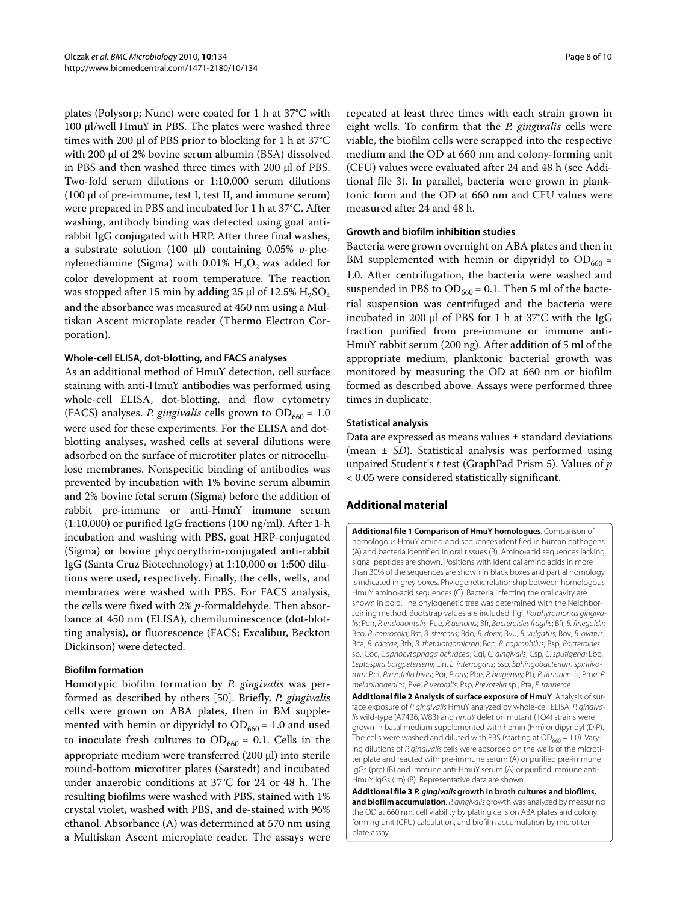plates (Polysorp; Nunc) were coated for 1 h at 37°C with 100 μl/well HmuY in PBS. The plates were washed three times with 200 μl of PBS prior to blocking for 1 h at 37°C with 200 μl of 2% bovine serum albumin (BSA) dissolved in PBS and then washed three times with 200 μl of PBS. Two-fold serum dilutions or 1:10,000 serum dilutions (100 μl of pre-immune, test I, test II, and immune serum) were prepared in PBS and incubated for 1 h at 37°C. After washing, antibody binding was detected using goat antirabbit IgG conjugated with HRP. After three final washes, a substrate solution (100 μl) containing 0.05% *o*-phenylenediamine (Sigma) with  $0.01\%$  H<sub>2</sub>O<sub>2</sub> was added for color development at room temperature. The reaction was stopped after 15 min by adding 25 μl of 12.5%  $H_2SO_4$ and the absorbance was measured at 450 nm using a Multiskan Ascent microplate reader (Thermo Electron Corporation).

## **Whole-cell ELISA, dot-blotting, and FACS analyses**

As an additional method of HmuY detection, cell surface staining with anti-HmuY antibodies was performed using whole-cell ELISA, dot-blotting, and flow cytometry (FACS) analyses. *P. gingivalis* cells grown to  $OD_{660} = 1.0$ were used for these experiments. For the ELISA and dotblotting analyses, washed cells at several dilutions were adsorbed on the surface of microtiter plates or nitrocellulose membranes. Nonspecific binding of antibodies was prevented by incubation with 1% bovine serum albumin and 2% bovine fetal serum (Sigma) before the addition of rabbit pre-immune or anti-HmuY immune serum (1:10,000) or purified IgG fractions (100 ng/ml). After 1-h incubation and washing with PBS, goat HRP-conjugated (Sigma) or bovine phycoerythrin-conjugated anti-rabbit IgG (Santa Cruz Biotechnology) at 1:10,000 or 1:500 dilutions were used, respectively. Finally, the cells, wells, and membranes were washed with PBS. For FACS analysis, the cells were fixed with 2% *p*-formaldehyde. Then absorbance at 450 nm (ELISA), chemiluminescence (dot-blotting analysis), or fluorescence (FACS; Excalibur, Beckton Dickinson) were detected.

## **Biofilm formation**

Homotypic biofilm formation by *P. gingivalis* was performed as described by others [[50\]](#page-9-12). Briefly, *P. gingivalis* cells were grown on ABA plates, then in BM supplemented with hemin or dipyridyl to  $OD_{660} = 1.0$  and used to inoculate fresh cultures to  $OD_{660} = 0.1$ . Cells in the appropriate medium were transferred (200 μl) into sterile round-bottom microtiter plates (Sarstedt) and incubated under anaerobic conditions at 37°C for 24 or 48 h. The resulting biofilms were washed with PBS, stained with 1% crystal violet, washed with PBS, and de-stained with 96% ethanol. Absorbance (A) was determined at 570 nm using a Multiskan Ascent microplate reader. The assays were

repeated at least three times with each strain grown in eight wells. To confirm that the *P. gingivalis* cells were viable, the biofilm cells were scrapped into the respective medium and the OD at 660 nm and colony-forming unit (CFU) values were evaluated after 24 and 48 h (see Additional file [3](#page-7-2)). In parallel, bacteria were grown in planktonic form and the OD at 660 nm and CFU values were measured after 24 and 48 h.

## **Growth and biofilm inhibition studies**

Bacteria were grown overnight on ABA plates and then in BM supplemented with hemin or dipyridyl to  $OD_{660} =$ 1.0. After centrifugation, the bacteria were washed and suspended in PBS to  $OD_{660} = 0.1$ . Then 5 ml of the bacterial suspension was centrifuged and the bacteria were incubated in 200 μl of PBS for 1 h at 37°C with the IgG fraction purified from pre-immune or immune anti-HmuY rabbit serum (200 ng). After addition of 5 ml of the appropriate medium, planktonic bacterial growth was monitored by measuring the OD at 660 nm or biofilm formed as described above. Assays were performed three times in duplicate.

#### **Statistical analysis**

Data are expressed as means values ± standard deviations (mean ± *SD*). Statistical analysis was performed using unpaired Student's *t* test (GraphPad Prism 5). Values of *p* < 0.05 were considered statistically significant.

## **Additional material**

<span id="page-7-0"></span>**[Additional file 1](http://www.biomedcentral.com/content/supplementary/1471-2180-10-134-S1.DOC) Comparison of HmuY homologues**. Comparison of homologous HmuY amino-acid sequences identified in human pathogens (A) and bacteria identified in oral tissues (B). Amino-acid sequences lacking signal peptides are shown. Positions with identical amino acids in more than 30% of the sequences are shown in black boxes and partial homology is indicated in grey boxes. Phylogenetic relationship between homologous HmuY amino-acid sequences (C). Bacteria infecting the oral cavity are shown in bold. The phylogenetic tree was determined with the Neighbor-Joining method. Bootstrap values are included. Pgi, Porphyromonas gingivalis; Pen, P. endodontalis; Pue, P. uenonis; Bfr, Bacteroides fragilis; Bfi, B. finegoldii; Bco, B. coprocola; Bst, B. stercoris; Bdo, B. dorei; Bvu, B. vulgatus; Bov, B. ovatus; Bca, B. caccae; Bth, B. thetaiotaomicron; Bcp, B. coprophilus; Bsp, Bacteroides sp.; Coc, Capnocytophaga ochracea; Cgi, C. gingivalis; Csp, C. sputigena; Lbo, Leptospira borgpetersenii; Lin, L. interrogans; Ssp, Sphingobacterium spiritivorum; Pbi, Prevotella bivia; Por, P. oris; Pbe, P. bergensis; Pti, P. timonensis; Pme, P. melaninogenica; Pve, P. veroralis; Psp, Prevotella sp.; Pta, P. tannerae.

<span id="page-7-1"></span>**[Additional file 2](http://www.biomedcentral.com/content/supplementary/1471-2180-10-134-S2.DOC) Analysis of surface exposure of HmuY**. Analysis of surface exposure of P. gingivalis HmuY analyzed by whole-cell ELISA. P. gingivalis wild-type (A7436, W83) and hmuY deletion mutant (TO4) strains were grown in basal medium supplemented with hemin (Hm) or dipyridyl (DIP). The cells were washed and diluted with PBS (starting at  $OD_{660} = 1.0$ ). Varying dilutions of P. gingivalis cells were adsorbed on the wells of the microtiter plate and reacted with pre-immune serum (A) or purified pre-immune IgGs (pre) (B) and immune anti-HmuY serum (A) or purified immune anti-HmuY IgGs (im) (B). Representative data are shown.

<span id="page-7-2"></span>**[Additional file 3](http://www.biomedcentral.com/content/supplementary/1471-2180-10-134-S3.DOC) P. gingivalis growth in broth cultures and biofilms,**  and biofilm accumulation. P. gingivalis growth was analyzed by measuring the OD at 660 nm, cell viability by plating cells on ABA plates and colony forming unit (CFU) calculation, and biofilm accumulation by microtiter plate assay.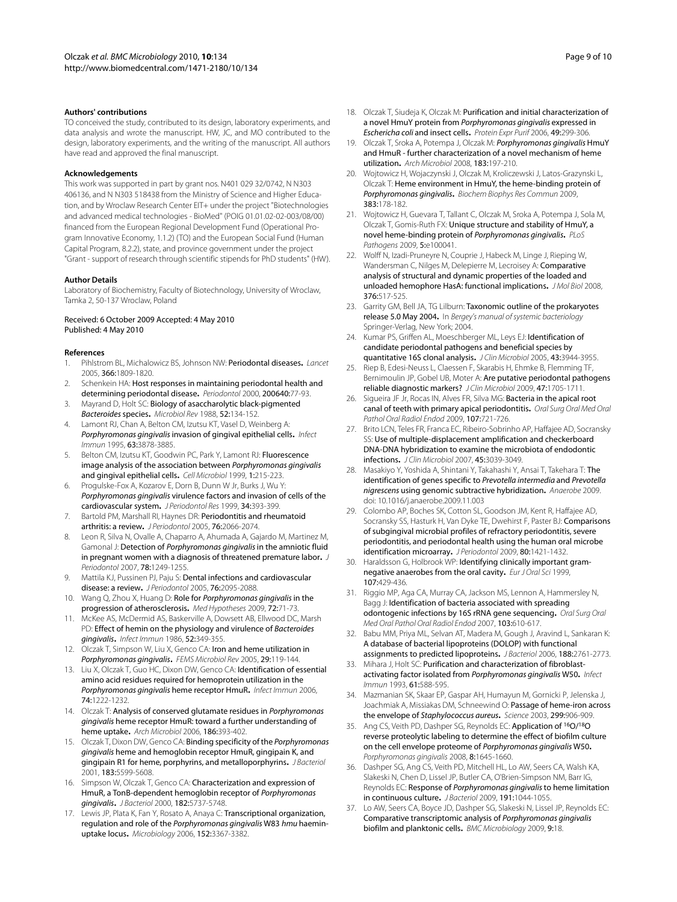#### **Authors' contributions**

TO conceived the study, contributed to its design, laboratory experiments, and data analysis and wrote the manuscript. HW, JC, and MO contributed to the design, laboratory experiments, and the writing of the manuscript. All authors have read and approved the final manuscript.

#### **Acknowledgements**

This work was supported in part by grant nos. N401 029 32/0742, N N303 406136, and N N303 518438 from the Ministry of Science and Higher Education, and by Wroclaw Research Center EIT+ under the project "Biotechnologies and advanced medical technologies - BioMed" (POIG 01.01.02-02-003/08/00) financed from the European Regional Development Fund (Operational Program Innovative Economy, 1.1.2) (TO) and the European Social Fund (Human Capital Program, 8.2.2), state, and province government under the project "Grant - support of research through scientific stipends for PhD students" (HW).

#### **Author Details**

Laboratory of Biochemistry, Faculty of Biotechnology, University of Wroclaw, Tamka 2, 50-137 Wroclaw, Poland

#### Received: 6 October 2009 Accepted: 4 May 2010 Published: 4 May 2010

#### **References**

- <span id="page-8-0"></span>1. Pihlstrom BL, Michalowicz BS, Johnson NW: Periodontal diseases**.** Lancet 2005, 366:1809-1820.
- <span id="page-8-1"></span>2. Schenkein HA: Host responses in maintaining periodontal health and determining periodontal disease**.** Periodontol 2000, 200640:77-93.
- <span id="page-8-2"></span>3. Mayrand D, Holt SC: Biology of asaccharolytic black-pigmented Bacteroides species**.** Microbiol Rev 1988, 52:134-152.
- <span id="page-8-3"></span>4. Lamont RJ, Chan A, Belton CM, Izutsu KT, Vasel D, Weinberg A: Porphyromonas gingivalis invasion of gingival epithelial cells**[.](http://www.ncbi.nlm.nih.gov/entrez/query.fcgi?cmd=Retrieve&db=PubMed&dopt=Abstract&list_uids=7558295)** Infect Immun 1995, 63:3878-3885.
- <span id="page-8-4"></span>5. Belton CM, Izutsu KT, Goodwin PC, Park Y, Lamont RJ: Fluorescence image analysis of the association between Porphyromonas gingivalis and gingival epithelial cells**.** Cell Microbiol 1999, 1:215-223.
- <span id="page-8-5"></span>6. Progulske-Fox A, Kozarov E, Dorn B, Dunn W Jr, Burks J, Wu Y: Porphyromonas gingivalis virulence factors and invasion of cells of the cardiovascular system**.** J Periodontol Res 1999, 34:393-399.
- <span id="page-8-6"></span>7. Bartold PM, Marshall RI, Haynes DR: Periodontitis and rheumatoid arthritis: a review**.** J Periodontol 2005, 76:2066-2074.
- 8. Leon R, Silva N, Ovalle A, Chaparro A, Ahumada A, Gajardo M, Martinez M, Gamonal J: Detection of Porphyromonas gingivalis in the amniotic fluid in pregnant women with a diagnosis of threatened premature labor**.** J Periodontol 2007, 78:1249-1255.
- 9. Mattila KJ, Pussinen PJ, Paju S: Dental infections and cardiovascular disease: a review**.** J Periodontol 2005, 76:2095-2088.
- <span id="page-8-7"></span>10. Wang Q, Zhou X, Huang D: Role for Porphyromonas gingivalis in the progression of atherosclerosis**.** Med Hypotheses 2009, 72:71-73.
- <span id="page-8-8"></span>11. McKee AS, McDermid AS, Baskerville A, Dowsett AB, Ellwood DC, Marsh PD: Effect of hemin on the physiology and virulence of Bacteroides gingivalis**[.](http://www.ncbi.nlm.nih.gov/entrez/query.fcgi?cmd=Retrieve&db=PubMed&dopt=Abstract&list_uids=3699884)** Infect Immun 1986, 52:349-355.
- <span id="page-8-9"></span>12. Olczak T, Simpson W, Liu X, Genco CA: Iron and heme utilization in Porphyromonas gingivalis**.** FEMS Microbiol Rev 2005, 29:119-144.
- <span id="page-8-10"></span>13. Liu X, Olczak T, Guo HC, Dixon DW, Genco CA: Identification of essential amino acid residues required for hemoprotein utilization in the Porphyromonas gingivalis heme receptor HmuR**.** Infect Immun 2006, 74:1222-1232.
- 14. Olczak T: Analysis of conserved glutamate residues in Porphyromonas gingivalis heme receptor HmuR: toward a further understanding of heme uptake**.** Arch Microbiol 2006, 186:393-402.
- 15. Olczak T, Dixon DW, Genco CA: Binding specificity of the Porphyromonas gingivalis heme and hemoglobin receptor HmuR, gingipain K, and gingipain R1 for heme, porphyrins, and metalloporphyrins**.** J Bacteriol 2001, 183:5599-5608.
- <span id="page-8-11"></span>16. Simpson W, Olczak T, Genco CA: Characterization and expression of HmuR, a TonB-dependent hemoglobin receptor of Porphyromonas gingivalis**[.](http://www.ncbi.nlm.nih.gov/entrez/query.fcgi?cmd=Retrieve&db=PubMed&dopt=Abstract&list_uids=11004172)** J Bacteriol 2000, 182:5737-5748.
- <span id="page-8-12"></span>17. Lewis JP, Plata K, Fan Y, Rosato A, Anaya C: Transcriptional organization, regulation and role of the Porphyromonas gingivalis W83 hmu haeminuptake locus**[.](http://www.ncbi.nlm.nih.gov/entrez/query.fcgi?cmd=Retrieve&db=PubMed&dopt=Abstract&list_uids=17074906)** Microbiology 2006, 152:3367-3382.
- <span id="page-8-25"></span>18. Olczak T, Siudeja K, Olczak M: Purification and initial characterization of a novel HmuY protein from Porphyromonas gingivalis expressed in Eschericha coli and insect cells**.** Protein Expr Purif 2006, 49:299-306.
- <span id="page-8-15"></span>19. Olczak T, Sroka A, Potempa J, Olczak M: Porphyromonas gingivalis HmuY and HmuR - further characterization of a novel mechanism of heme utilization**.** Arch Microbiol 2008, 183:197-210.
- <span id="page-8-14"></span>20. Wojtowicz H, Wojaczynski J, Olczak M, Kroliczewski J, Latos-Grazynski L, Olczak T: Heme environment in HmuY, the heme-binding protein of Porphyromonas gingivalis**.** Biochem Biophys Res Commun 2009, 383:178-182.
- <span id="page-8-13"></span>21. Wojtowicz H, Guevara T, Tallant C, Olczak M, Sroka A, Potempa J, Sola M, Olczak T, Gomis-Ruth FX: Unique structure and stability of HmuY, a novel heme-binding protein of Porphyromonas gingivalis**.** PLoS Pathogens 2009, 5:e100041.
- <span id="page-8-16"></span>22. Wolff N, Izadi-Pruneyre N, Couprie J, Habeck M, Linge J, Rieping W, Wandersman C, Nilges M, Delepierre M, Lecroisey A: Comparative analysis of structural and dynamic properties of the loaded and unloaded hemophore HasA: functional implications**.** J Mol Biol 2008, 376:517-525.
- <span id="page-8-17"></span>23. Garrity GM, Bell JA, TG Lilburn: Taxonomic outline of the prokaryotes release 5.0 May 2004**.** In Bergey's manual of systemic bacteriology Springer-Verlag, New York; 2004.
- <span id="page-8-18"></span>24. Kumar PS, Griffen AL, Moeschberger ML, Leys EJ: Identification of candidate periodontal pathogens and beneficial species by quantitative 16S clonal analysis**.** J Clin Microbiol 2005, 43:3944-3955.
- 25. Riep B, Edesi-Neuss L, Claessen F, Skarabis H, Ehmke B, Flemming TF, Bernimoulin JP, Gobel UB, Moter A: Are putative periodontal pathogens reliable diagnostic markers? J Clin Microbiol 2009, 47:1705-1711.
- 26. Sigueira JF Jr, Rocas IN, Alves FR, Silva MG: Bacteria in the apical root canal of teeth with primary apical periodontitis**.** Oral Surg Oral Med Oral Pathol Oral Radiol Endod 2009, 107:721-726.
- 27. Brito LCN, Teles FR, Franca EC, Ribeiro-Sobrinho AP, Haffajee AD, Socransky SS: Use of multiple-displacement amplification and checkerboard DNA-DNA hybridization to examine the microbiota of endodontic infections**[.](http://www.ncbi.nlm.nih.gov/entrez/query.fcgi?cmd=Retrieve&db=PubMed&dopt=Abstract&list_uids=17634304)** J Clin Microbiol 2007, 45:3039-3049.
- 28. Masakiyo Y, Yoshida A, Shintani Y, Takahashi Y, Ansai T, Takehara T: The identification of genes specific to Prevotella intermedia and Prevotella nigrescens using genomic subtractive hybridization**.** Anaerobe 2009. doi: 10.1016/j.anaerobe.2009.11.003
- Colombo AP, Boches SK, Cotton SL, Goodson JM, Kent R, Haffajee AD, Socransky SS, Hasturk H, Van Dyke TE, Dwehirst F, Paster BJ: Comparisons of subgingival microbial profiles of refractory periodontitis, severe periodontitis, and periodontal health using the human oral microbe identification microarray**.** J Periodontol 2009, 80:1421-1432.
- 30. Haraldsson G, Holbrook WP: Identifying clinically important gramnegative anaerobes from the oral cavity**.** Eur J Oral Sci 1999, 107:429-436.
- <span id="page-8-19"></span>31. Riggio MP, Aga CA, Murray CA, Jackson MS, Lennon A, Hammersley N, Bagg J: Identification of bacteria associated with spreading odontogenic infections by 16S rRNA gene sequencing**.** Oral Surg Oral Med Oral Pathol Oral Radiol Endod 2007, 103:610-617.
- <span id="page-8-20"></span>32. Babu MM, Priya ML, Selvan AT, Madera M, Gough J, Aravind L, Sankaran K: A database of bacterial lipoproteins (DOLOP) with functional assignments to predicted lipoproteins**.** J Bacteriol 2006, 188:2761-2773.
- <span id="page-8-21"></span>33. Mihara J, Holt SC: Purification and characterization of fibroblastactivating factor isolated from Porphyromonas gingivalis W50**[.](http://www.ncbi.nlm.nih.gov/entrez/query.fcgi?cmd=Retrieve&db=PubMed&dopt=Abstract&list_uids=8380795)** Infect Immun 1993, 61:588-595.
- <span id="page-8-22"></span>34. Mazmanian SK, Skaar EP, Gaspar AH, Humayun M, Gornicki P, Jelenska J, Joachmiak A, Missiakas DM, Schneewind O: Passage of heme-iron across the envelope of Staphylococcus aureu[s](http://www.ncbi.nlm.nih.gov/entrez/query.fcgi?cmd=Retrieve&db=PubMed&dopt=Abstract&list_uids=12574635)**.** Science 2003, 299:906-909.
- <span id="page-8-23"></span>35. Ang CS, Veith PD, Dashper SG, Reynolds EC: Application of <sup>16</sup>O/<sup>18</sup>O reverse proteolytic labeling to determine the effect of biofilm culture on the cell envelope proteome of Porphyromonas gingivalis W50**.** Porphyromonas gingivalis 2008, 8:1645-1660.
- 36. Dashper SG, Ang CS, Veith PD, Mitchell HL, Lo AW, Seers CA, Walsh KA, Slakeski N, Chen D, Lissel JP, Butler CA, O'Brien-Simpson NM, Barr IG, Reynolds EC: Response of Porphyromonas gingivalis to heme limitation in continuous culture**.** J Bacteriol 2009, 191:1044-1055.
- <span id="page-8-24"></span>37. Lo AW, Seers CA, Boyce JD, Dashper SG, Slakeski N, Lissel JP, Reynolds EC: Comparative transcriptomic analysis of Porphyromonas gingivalis biofilm and planktonic cells**.** BMC Microbiology 2009, 9:18.